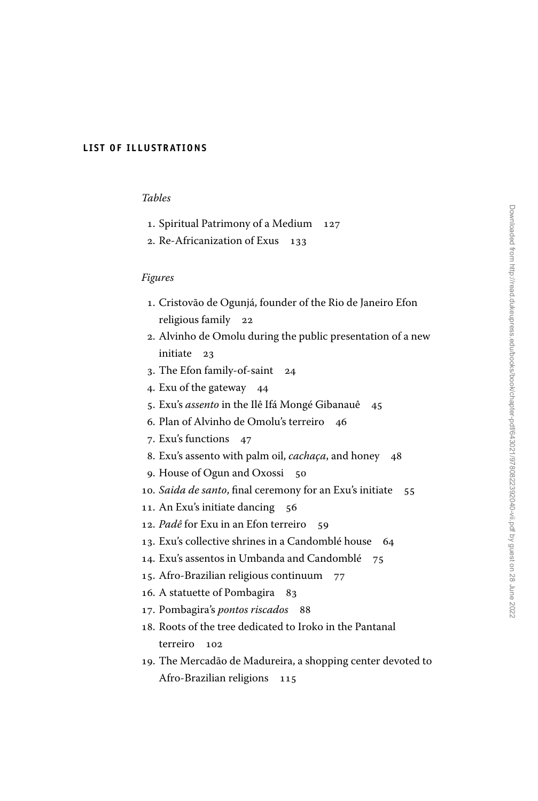## **LIST OF ILLUSTRATIONS**

## *Tables*

- 1. Spiritual Patrimony of a Medium 127
- 2. Re-Africanization of Exus 133

## *Figures*

- 1. Cristovão de Ogunjá, founder of the Rio de Janeiro Efon religious family 22
- 2. Alvinho de Omolu during the public presentation of a new initiate 23
- 3. The Efon family-of-saint 24
- 4. Exu of the gateway 44
- 5. Exu's *assento* in the Ilê Ifá Mongé Gibanauê 45
- 6. Plan of Alvinho de Omolu's terreiro 46
- 7. Exu's functions 47
- 8. Exu's assento with palm oil, *cachaça*, and honey 48
- 9. House of Ogun and Oxossi 50
- 10. *Saida de santo*, final ceremony for an Exu's initiate 55
- 11. An Exu's initiate dancing 56
- 12. *Padê* for Exu in an Efon terreiro 59
- 13. Exu's collective shrines in a Candomblé house 64
- 14. Exu's assentos in Umbanda and Candomblé 75
- 15. Afro-Brazilian religious continuum 77
- 16. A statuette of Pombagira 83
- 17. Pombagira's *pontos riscados* 88
- 18. Roots of the tree dedicated to Iroko in the Pantanal terreiro 102
- 19. The Mercadão de Madureira, a shopping center devoted to Afro-Brazilian religions 115